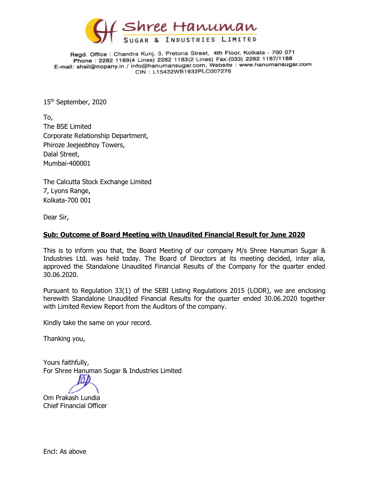

Regd. Office: Chandra Kunj, 3, Pretoria Street, 4th Floor, Kolkata - 700 071 Phone: 2282 1169(4 Lines) 2282 1183(2 Lines) Fax: (033) 2282 1187/1188 E-mail: shsil@nopany.in / info@hanumansugar.com, Website : www.hanumansugar.com CIN: L15432WB1932PLC007276

15 th September, 2020

To, The BSE Limited Corporate Relationship Department, Phiroze Jeejeebhoy Towers, Dalal Street, Mumbai-400001

The Calcutta Stock Exchange Limited 7, Lyons Range, Kolkata-700 001

Dear Sir,

## **Sub: Outcome of Board Meeting with Unaudited Financial Result for June 2020**

This is to inform you that, the Board Meeting of our company M/s Shree Hanuman Sugar & Industries Ltd. was held today. The Board of Directors at its meeting decided, inter alia, approved the Standalone Unaudited Financial Results of the Company for the quarter ended 30.06.2020.

Pursuant to Regulation 33(1) of the SEBI Listing Regulations 2015 (LODR), we are enclosing herewith Standalone Unaudited Financial Results for the quarter ended 30.06.2020 together with Limited Review Report from the Auditors of the company.

Kindly take the same on your record.

Thanking you,

Yours faithfully, For Shree Hanuman Sugar & Industries Limited

Om Prakash Lundia Chief Financial Officer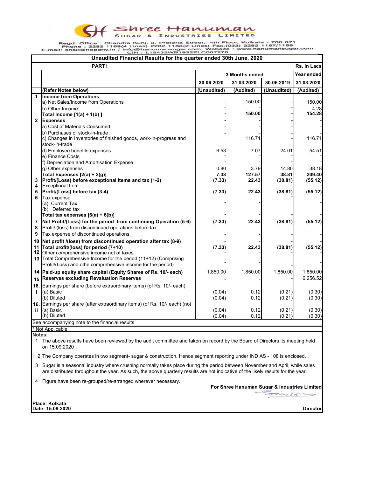Shree Hanuman

Regd. Office : Chandra Kunj, 3, Pretoria Street, 4th Floor, Kolkata - 700 071<br>Phone : 2282 1169(4 Lines) 2282 1183(2-Lines) Fax:(033) 2282 1187/1188<br>E-mail: shsil@nopany.in / info@hanumansugar.com, Website : www.hanumansug

| Unaudited Financial Results for the quarter ended 30th June, 2020 |                                                                                                                              |             |            |                       |                |  |
|-------------------------------------------------------------------|------------------------------------------------------------------------------------------------------------------------------|-------------|------------|-----------------------|----------------|--|
|                                                                   | <b>PART I</b>                                                                                                                |             |            |                       | Rs. in Lacs    |  |
|                                                                   |                                                                                                                              |             |            | <b>3 Months ended</b> |                |  |
|                                                                   |                                                                                                                              | 30.06.2020  | 31.03.2020 | 30.06.2019            | 31.03.2020     |  |
|                                                                   | (Refer Notes below)                                                                                                          | (Unaudited) | (Audited)  | (Unaudited)           | (Audited)      |  |
| 1                                                                 | <b>Income from Operations</b>                                                                                                |             |            |                       |                |  |
|                                                                   | a) Net Sales/Income from Operations                                                                                          |             | 150.00     |                       | 150.00         |  |
|                                                                   | b) Other Income                                                                                                              |             | 150.00     |                       | 4.28<br>154.28 |  |
| $\mathbf{2}$                                                      | Total Income $[1(a) + 1(b)]$<br><b>Expenses</b>                                                                              |             |            |                       |                |  |
|                                                                   | a) Cost of Materials Consumed                                                                                                |             |            |                       |                |  |
|                                                                   | b) Purchases of stock-in-trade                                                                                               |             |            |                       |                |  |
|                                                                   | c) Changes in Inventories of finished goods, work-in-progress and                                                            |             | 116.71     |                       | 116.71         |  |
|                                                                   | stock-in-trade                                                                                                               |             |            |                       |                |  |
|                                                                   | d) Employee benefits expenses                                                                                                | 6.53        | 7.07       | 24.01                 | 54.51          |  |
|                                                                   | e) Finance Costs                                                                                                             |             |            |                       |                |  |
|                                                                   | f) Depreciation and Amortisation Expense                                                                                     |             |            |                       |                |  |
|                                                                   | g) Other expenses                                                                                                            | 0.80        | 3.79       | 14.80                 | 38.18          |  |
|                                                                   | Total Expenses $[2(a) + 2(g)]$                                                                                               | 7.33        | 127.57     | 38.81                 | 209.40         |  |
| 3                                                                 | Profit/(Loss) before exceptional items and tax (1-2)                                                                         | (7.33)      | 22.43      | (38.81)               | (55.12)        |  |
| 4                                                                 | <b>Exceptional Item</b>                                                                                                      |             |            |                       |                |  |
| 5                                                                 | Profit/(Loss) before tax (3-4)                                                                                               | (7.33)      | 22.43      | (38.81)               | (55.12)        |  |
|                                                                   | Tax expense                                                                                                                  |             |            |                       |                |  |
|                                                                   | (a) Current Tax                                                                                                              |             |            |                       |                |  |
|                                                                   | (b) Deferred tax                                                                                                             |             |            |                       |                |  |
|                                                                   | Total tax expenses $[6(a) + 6(b)]$                                                                                           |             |            |                       |                |  |
| 7                                                                 | Net Profit/(Loss) for the period from continuing Operation (5-6)                                                             | (7.33)      | 22.43      | (38.81)               | (55.12)        |  |
| 8                                                                 | Profit/ (loss) from discontinued operations before tax                                                                       |             |            |                       |                |  |
| 9                                                                 | Tax expense of discontinued operations                                                                                       |             |            |                       |                |  |
| 10                                                                | Net profit /(loss) from discontinued operation after tax (8-9)                                                               |             |            |                       |                |  |
| 11                                                                | Total profit/(loss) for period (7+10)                                                                                        | (7.33)      | 22.43      | (38.81)               | (55.12)        |  |
|                                                                   | 12 Other comprehensive income net of taxes                                                                                   |             |            |                       |                |  |
|                                                                   | 13 Total Comprehensive Income for the period (11+12) (Comprising                                                             |             |            |                       |                |  |
|                                                                   | Profit/(Loss) and othe comprehensive income for the period)                                                                  |             |            |                       |                |  |
| 14                                                                | Paid-up equity share capital (Equity Shares of Rs. 10/- each)                                                                | 1,850.00    | 1,850.00   | 1,850.00              | 1,850.00       |  |
|                                                                   | <b>Reserves excluding Revaluation Reserves</b>                                                                               |             |            |                       | 6,256.52       |  |
| 15                                                                |                                                                                                                              |             |            |                       |                |  |
|                                                                   | 16. Earnings per share (before extraordinary items) (of Rs. 10/- each)                                                       |             |            |                       |                |  |
| j.                                                                | (a) Basic                                                                                                                    | (0.04)      | 0.12       | (0.21)                | (0.30)         |  |
|                                                                   | (b) Diluted                                                                                                                  | (0.04)      | 0.12       | (0.21)                | (0.30)         |  |
|                                                                   | 16. Earnings per share (after extraordinary items) (of Rs. 10/- each) (not                                                   |             |            |                       |                |  |
| ij.                                                               | (a) Basic<br>(b) Diluted                                                                                                     | (0.04)      | 0.12       | (0.21)                | (0.30)         |  |
|                                                                   |                                                                                                                              | (0.04)      | 0.12       | (0.21)                | (0.30)         |  |
|                                                                   | See accompanying note to the financial results                                                                               |             |            |                       |                |  |
|                                                                   | Not Applicable                                                                                                               |             |            |                       |                |  |
|                                                                   | Notes:                                                                                                                       |             |            |                       |                |  |
|                                                                   | 1 The above results have been reviewed by the audit committee and taken on record by the Board of Directors its meeting held |             |            |                       |                |  |
|                                                                   | on 15.09.2020                                                                                                                |             |            |                       |                |  |

2 The Company operates in two segment- sugar & construction. Hence segment reporting under IND AS - 108 is enclosed.

3 Sugar is a seasonal industry where crushing normally takes place during the period between November and April, while sales are distributed throughout the year. As such, the above quarterly results are not indicative of the likely results for the year.

4 Figure have been re-grouped/re-arranged wherever necessary.

**For Shree Hanuman Sugar & Industries Limited**

 $\sum_{\alpha}a_{\alpha}$ 

**Place: Kolkata Date: 15.09.2020**

**Director**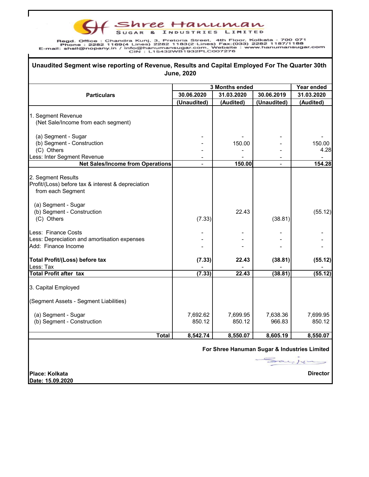F Shree Hanuman

Regd. Office: Chandra Kirel, 3, Pretoria Street, 4th Floor, Kolkata - 700 071<br>Phone: 2282 1169(4 Lines) 2282 1183(2 Lines) Fax:(033) 2282 1187/1188<br>E-mail: shsil@nopany.in / info@hanumansugar.com, Website: www.hanumansugar

C

| 30.06.2020<br>(Unaudited) | 3 Months ended<br>31.03.2020<br>(Audited)<br>150.00<br>150.00 | 30.06.2019<br>(Unaudited) | Year ended<br>31.03.2020<br>(Audited)                                                   |
|---------------------------|---------------------------------------------------------------|---------------------------|-----------------------------------------------------------------------------------------|
|                           |                                                               |                           |                                                                                         |
|                           |                                                               |                           |                                                                                         |
|                           |                                                               |                           | 150.00<br>4.28                                                                          |
|                           |                                                               |                           |                                                                                         |
|                           |                                                               |                           |                                                                                         |
|                           |                                                               |                           |                                                                                         |
|                           |                                                               |                           |                                                                                         |
|                           |                                                               |                           |                                                                                         |
|                           |                                                               |                           |                                                                                         |
|                           |                                                               |                           | 154.28                                                                                  |
|                           |                                                               |                           |                                                                                         |
|                           |                                                               |                           |                                                                                         |
|                           |                                                               |                           |                                                                                         |
|                           |                                                               |                           |                                                                                         |
|                           |                                                               |                           |                                                                                         |
|                           | 22.43                                                         |                           | (55.12)                                                                                 |
|                           |                                                               |                           |                                                                                         |
|                           |                                                               |                           |                                                                                         |
|                           |                                                               |                           |                                                                                         |
|                           |                                                               |                           |                                                                                         |
|                           |                                                               |                           |                                                                                         |
|                           | 22.43                                                         |                           | (55.12)                                                                                 |
|                           |                                                               |                           |                                                                                         |
|                           |                                                               |                           | (55.12)                                                                                 |
|                           |                                                               |                           |                                                                                         |
|                           |                                                               |                           |                                                                                         |
|                           |                                                               |                           |                                                                                         |
| 7,692.62                  | 7,699.95                                                      | 7,638.36                  | 7,699.95                                                                                |
|                           |                                                               |                           | 850.12                                                                                  |
| 8,542.74                  | 8,550.07                                                      | 8,605.19                  | 8,550.07                                                                                |
|                           |                                                               |                           |                                                                                         |
|                           | (7.33)<br>(7.33)<br>(7.33)<br>850.12                          | 22.43<br>850.12           | (38.81)<br>(38.81)<br>(38.81)<br>966.83<br>For Shree Hanuman Sugar & Industries Limited |

**Place: Kolkata Date: 15.09.2020** **Director**